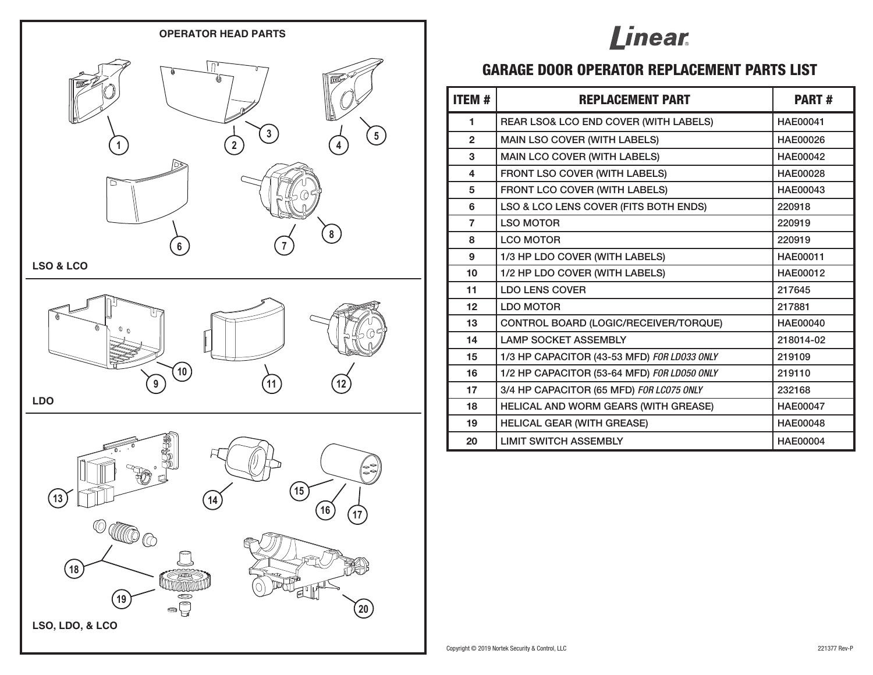

# **Linear**

### **GARAGE DOOR OPERATOR REPLACEMENT PARTS LIST**

| <b>ITEM#</b>   | <b>REPLACEMENT PART</b>                     | <b>PART#</b>    |
|----------------|---------------------------------------------|-----------------|
| 1              | REAR LSO& LCO END COVER (WITH LABELS)       | <b>HAE00041</b> |
| $\overline{2}$ | MAIN LSO COVER (WITH LABELS)                | <b>HAE00026</b> |
| 3              | <b>MAIN LCO COVER (WITH LABELS)</b>         | <b>HAE00042</b> |
| 4              | FRONT LSO COVER (WITH LABELS)               | <b>HAE00028</b> |
| 5              | FRONT LCO COVER (WITH LABELS)               | HAE00043        |
| 6              | LSO & LCO LENS COVER (FITS BOTH ENDS)       | 220918          |
| $\overline{7}$ | <b>LSO MOTOR</b>                            | 220919          |
| 8              | <b>LCO MOTOR</b>                            | 220919          |
| 9              | 1/3 HP LDO COVER (WITH LABELS)              | HAE00011        |
| 10             | 1/2 HP LDO COVER (WITH LABELS)              | <b>HAE00012</b> |
| 11             | <b>LDO LENS COVER</b>                       | 217645          |
| 12             | <b>LDO MOTOR</b>                            | 217881          |
| 13             | CONTROL BOARD (LOGIC/RECEIVER/TORQUE)       | <b>HAE00040</b> |
| 14             | <b>LAMP SOCKET ASSEMBLY</b>                 | 218014-02       |
| 15             | 1/3 HP CAPACITOR (43-53 MFD) FOR LD033 ONLY | 219109          |
| 16             | 1/2 HP CAPACITOR (53-64 MFD) FOR LD050 ONLY | 219110          |
| 17             | 3/4 HP CAPACITOR (65 MFD) FOR LC075 ONLY    | 232168          |
| 18             | HELICAL AND WORM GEARS (WITH GREASE)        | <b>HAE00047</b> |
| 19             | <b>HELICAL GEAR (WITH GREASE)</b>           | <b>HAE00048</b> |
| 20             | <b>LIMIT SWITCH ASSEMBLY</b>                | <b>HAE00004</b> |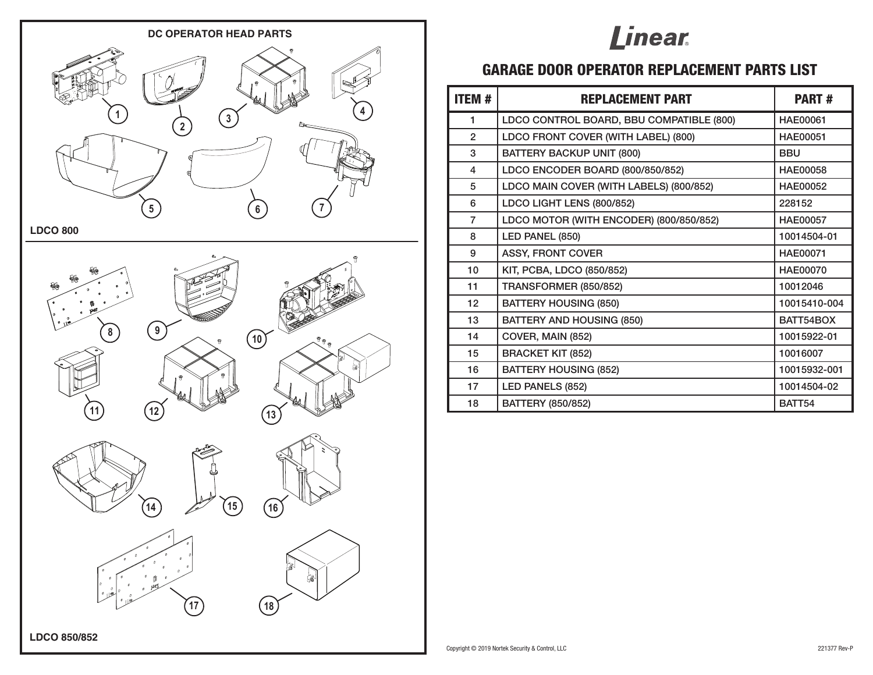

#### **LDCO 800**

**LDCO 850/852**



# **Linear**

### **GARAGE DOOR OPERATOR REPLACEMENT PARTS LIST**

| <b>ITEM#</b>   | <b>REPLACEMENT PART</b>                  | <b>PART#</b>       |
|----------------|------------------------------------------|--------------------|
| 1              | LDCO CONTROL BOARD, BBU COMPATIBLE (800) | <b>HAE00061</b>    |
| $\overline{2}$ | LDCO FRONT COVER (WITH LABEL) (800)      | <b>HAE00051</b>    |
| 3              | <b>BATTERY BACKUP UNIT (800)</b>         | <b>BBU</b>         |
| 4              | LDCO ENCODER BOARD (800/850/852)         | <b>HAE00058</b>    |
| 5              | LDCO MAIN COVER (WITH LABELS) (800/852)  | <b>HAE00052</b>    |
| 6              | LDCO LIGHT LENS (800/852)                | 228152             |
| $\overline{7}$ | LDCO MOTOR (WITH ENCODER) (800/850/852)  | <b>HAE00057</b>    |
| 8              | LED PANEL (850)                          | 10014504-01        |
| 9              | <b>ASSY, FRONT COVER</b>                 | <b>HAE00071</b>    |
| 10             | KIT, PCBA, LDCO (850/852)                | <b>HAE00070</b>    |
| 11             | TRANSFORMER (850/852)                    | 10012046           |
| 12             | <b>BATTERY HOUSING (850)</b>             | 10015410-004       |
| 13             | <b>BATTERY AND HOUSING (850)</b>         | BATT54BOX          |
| 14             | COVER, MAIN (852)                        | 10015922-01        |
| 15             | <b>BRACKET KIT (852)</b>                 | 10016007           |
| 16             | <b>BATTERY HOUSING (852)</b>             | 10015932-001       |
| 17             | LED PANELS (852)                         | 10014504-02        |
| 18             | <b>BATTERY (850/852)</b>                 | BATT <sub>54</sub> |

Copyright © 2019 Nortek Security & Control, LLC 221377 Rev-P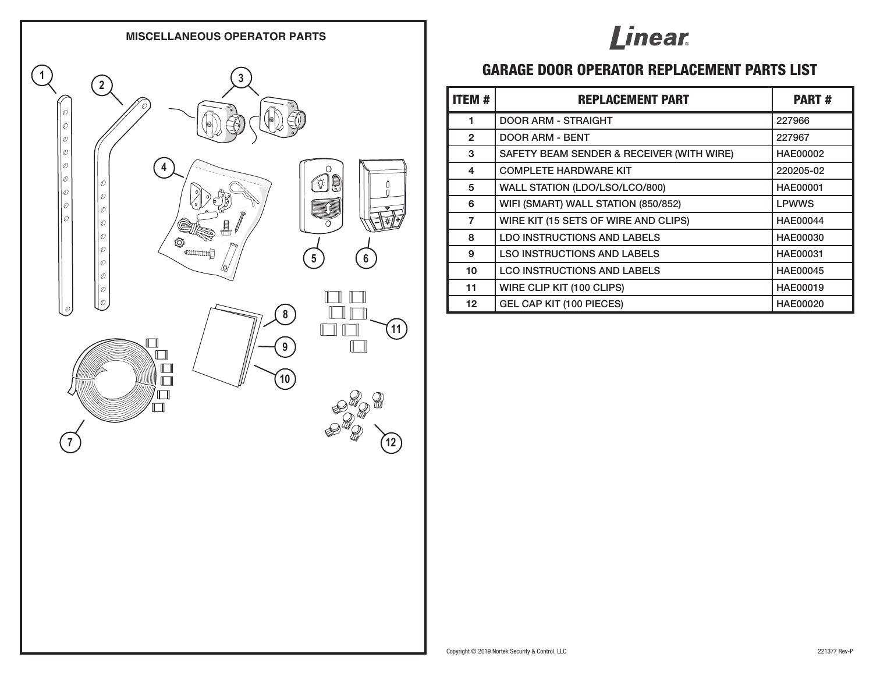### **MISCELLANEOUS OPERATOR PARTS 1 32 4**  $\circ$ E ੂੱ⊱  $\wedge$ 0 | 0 dilim **6 5**|0  $|0\rangle$  $|_{\mathcal{O}}$ - 11 l o  $\sqrt{2}$ **8**  $\Box$   $\Box$ **11**  $\mathbb T$ **9**  $\Box$  $\Box$  $\Box$ **10**רו<br>⊔<br>⊔ **7** $(12)$ **12**

# **Linear.**

### **GARAGE DOOR OPERATOR REPLACEMENT PARTS LIST**

| <b>ITEM#</b>   | <b>REPLACEMENT PART</b>                   | <b>PART#</b>    |
|----------------|-------------------------------------------|-----------------|
| 1              | <b>DOOR ARM - STRAIGHT</b>                | 227966          |
| $\mathfrak{p}$ | <b>DOOR ARM - BENT</b>                    | 227967          |
| 3              | SAFETY BEAM SENDER & RECEIVER (WITH WIRE) | <b>HAE00002</b> |
| 4              | <b>COMPLETE HARDWARE KIT</b>              | 220205-02       |
| 5              | WALL STATION (LDO/LSO/LCO/800)            | <b>HAE00001</b> |
| 6              | WIFI (SMART) WALL STATION (850/852)       | <b>LPWWS</b>    |
| 7              | WIRE KIT (15 SETS OF WIRE AND CLIPS)      | <b>HAE00044</b> |
| 8              | <b>LDO INSTRUCTIONS AND LABELS</b>        | <b>HAE00030</b> |
| 9              | <b>LSO INSTRUCTIONS AND LABELS</b>        | <b>HAE00031</b> |
| 10             | <b>LCO INSTRUCTIONS AND LABELS</b>        | <b>HAE00045</b> |
| 11             | WIRE CLIP KIT (100 CLIPS)                 | HAE00019        |
| 12             | <b>GEL CAP KIT (100 PIECES)</b>           | <b>HAE00020</b> |